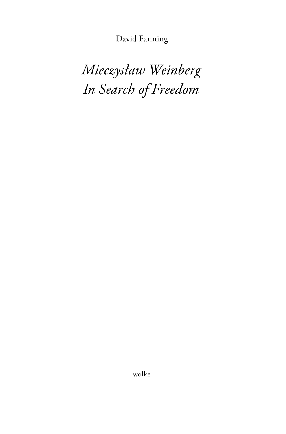David Fanning

*Mieczysław Weinberg In Search of Freedom*

wolke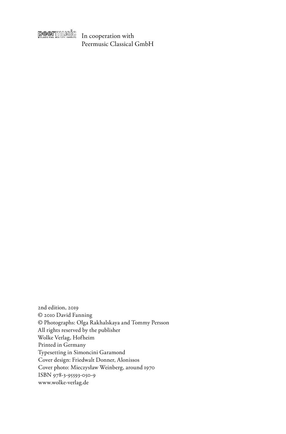

In cooperation with Peermusic Classical GmbH

2nd edition, 2019 © 2010 David Fanning © Photographs: Olga Rakhalskaya and Tommy Persson All rights reserved by the publisher Wolke Verlag, Hofheim Printed in Germany Typesetting in Simoncini Garamond Cover design: Friedwalt Donner, Alonissos Cover photo: Mieczysław Weinberg, around 1970 ISBN 978-3-95593-050-9 www.wolke-verlag.de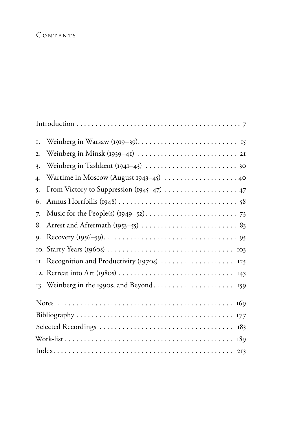# CONTENTS

| I.               |                                               |
|------------------|-----------------------------------------------|
| $\overline{2}$ . |                                               |
| 3.               |                                               |
| 4.               | Wartime in Moscow (August 1943-45)  40        |
| 5.               | From Victory to Suppression (1945–47)  47     |
| 6.               |                                               |
| 7.               |                                               |
| 8.               |                                               |
| $Q_{\bullet}$    |                                               |
|                  |                                               |
|                  | II. Recognition and Productivity (1970s)  125 |
|                  |                                               |
|                  |                                               |
|                  |                                               |
|                  |                                               |
|                  |                                               |
|                  |                                               |
|                  |                                               |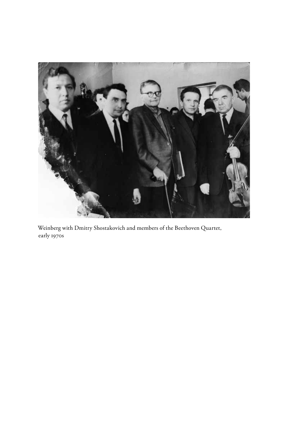

Weinberg with Dmitry Shostakovich and members of the Beethoven Quartet, early 1970s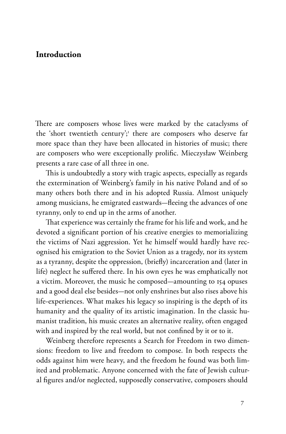## **Introduction**

There are composers whose lives were marked by the cataclysms of the 'short twentieth century';<sup>1</sup> there are composers who deserve far more space than they have been allocated in histories of music; there are composers who were exceptionally prolific. Mieczysław Weinberg presents a rare case of all three in one.

This is undoubtedly a story with tragic aspects, especially as regards the extermination of Weinberg's family in his native Poland and of so many others both there and in his adopted Russia. Almost uniquely among musicians, he emigrated eastwards-fleeing the advances of one tyranny, only to end up in the arms of another.

That experience was certainly the frame for his life and work, and he devoted a significant portion of his creative energies to memorializing the victims of Nazi aggression. Yet he himself would hardly have recognised his emigration to the Soviet Union as a tragedy, nor its system as a tyranny, despite the oppression, (briefly) incarceration and (later in life) neglect he suffered there. In his own eyes he was emphatically not a victim. Moreover, the music he composed-amounting to 154 opuses and a good deal else besides-not only enshrines but also rises above his life-experiences. What makes his legacy so inspiring is the depth of its humanity and the quality of its artistic imagination. In the classic humanist tradition, his music creates an alternative reality, often engaged with and inspired by the real world, but not confined by it or to it.

Weinberg therefore represents a Search for Freedom in two dimensions: freedom to live and freedom to compose. In both respects the odds against him were heavy, and the freedom he found was both limited and problematic. Anyone concerned with the fate of Jewish cultural figures and/or neglected, supposedly conservative, composers should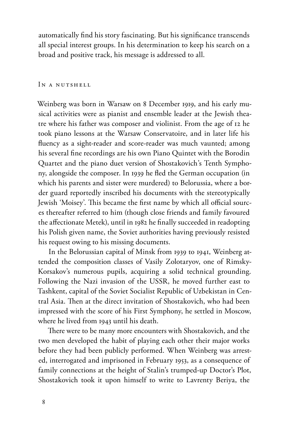automatically find his story fascinating. But his significance transcends all special interest groups. In his determination to keep his search on a broad and positive track, his message is addressed to all.

### In a nutshell

Weinberg was born in Warsaw on 8 December 1919, and his early musical activities were as pianist and ensemble leader at the Jewish theatre where his father was composer and violinist. From the age of 12 he took piano lessons at the Warsaw Conservatoire, and in later life his fluency as a sight-reader and score-reader was much vaunted; among his several fine recordings are his own Piano Quintet with the Borodin Quartet and the piano duet version of Shostakovich's Tenth Symphony, alongside the composer. In 1939 he fled the German occupation (in which his parents and sister were murdered) to Belorussia, where a border guard reportedly inscribed his documents with the stereotypically Jewish 'Moisey'. This became the first name by which all official sources thereafter referred to him (though close friends and family favoured the affectionate Metek), until in 1982 he finally succeeded in readopting his Polish given name, the Soviet authorities having previously resisted his request owing to his missing documents.

In the Belorussian capital of Minsk from 1939 to 1941, Weinberg attended the composition classes of Vasily Zolotaryov, one of Rimsky-Korsakov's numerous pupils, acquiring a solid technical grounding. Following the Nazi invasion of the USSR, he moved further east to Tashkent, capital of the Soviet Socialist Republic of Uzbekistan in Central Asia. Then at the direct invitation of Shostakovich, who had been impressed with the score of his First Symphony, he settled in Moscow, where he lived from 1943 until his death.

There were to be many more encounters with Shostakovich, and the two men developed the habit of playing each other their major works before they had been publicly performed. When Weinberg was arrested, interrogated and imprisoned in February 1953, as a consequence of family connections at the height of Stalin's trumped-up Doctor's Plot, Shostakovich took it upon himself to write to Lavrenty Beriya, the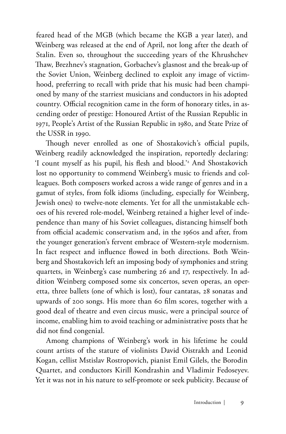feared head of the MGB (which became the KGB a year later), and Weinberg was released at the end of April, not long after the death of Stalin. Even so, throughout the succeeding years of the Khrushchev Thaw, Brezhnev's stagnation, Gorbachev's glasnost and the break-up of the Soviet Union, Weinberg declined to exploit any image of victimhood, preferring to recall with pride that his music had been championed by many of the starriest musicians and conductors in his adopted country. Official recognition came in the form of honorary titles, in ascending order of prestige: Honoured Artist of the Russian Republic in 1971, People's Artist of the Russian Republic in 1980, and State Prize of the USSR in 1990.

Though never enrolled as one of Shostakovich's official pupils, Weinberg readily acknowledged the inspiration, reportedly declaring: 'I count myself as his pupil, his flesh and blood.'2 And Shostakovich lost no opportunity to commend Weinberg's music to friends and colleagues. Both composers worked across a wide range of genres and in a gamut of styles, from folk idioms (including, especially for Weinberg, Jewish ones) to twelve-note elements. Yet for all the unmistakable echoes of his revered role-model, Weinberg retained a higher level of independence than many of his Soviet colleagues, distancing himself both from official academic conservatism and, in the 1960s and after, from the younger generation's fervent embrace of Western-style modernism. In fact respect and influence flowed in both directions. Both Weinberg and Shostakovich left an imposing body of symphonies and string quartets, in Weinberg's case numbering 26 and 17, respectively. In addition Weinberg composed some six concertos, seven operas, an operetta, three ballets (one of which is lost), four cantatas, 28 sonatas and upwards of 200 songs. His more than 60 film scores, together with a good deal of theatre and even circus music, were a principal source of income, enabling him to avoid teaching or administrative posts that he did not find congenial.

Among champions of Weinberg's work in his lifetime he could count artists of the stature of violinists David Oistrakh and Leonid Kogan, cellist Mstislav Rostropovich, pianist Emil Gilels, the Borodin Quartet, and conductors Kirill Kondrashin and Vladimir Fedoseyev. Yet it was not in his nature to self-promote or seek publicity. Because of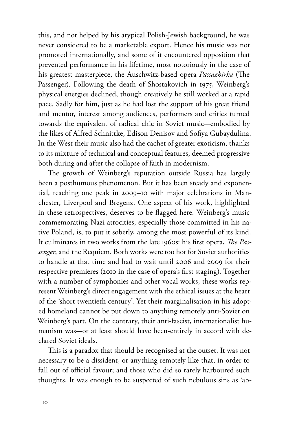this, and not helped by his atypical Polish-Jewish background, he was never considered to be a marketable export. Hence his music was not promoted internationally, and some of it encountered opposition that prevented performance in his lifetime, most notoriously in the case of his greatest masterpiece, the Auschwitz-based opera *Passazhirka* (The Passenger). Following the death of Shostakovich in 1975, Weinberg's physical energies declined, though creatively he still worked at a rapid pace. Sadly for him, just as he had lost the support of his great friend and mentor, interest among audiences, performers and critics turned towards the equivalent of radical chic in Soviet music-embodied by the likes of Alfred Schnittke, Edison Denisov and Sofiya Gubaydulina. In the West their music also had the cachet of greater exoticism, thanks to its mixture of technical and conceptual features, deemed progressive both during and after the collapse of faith in modernism.

The growth of Weinberg's reputation outside Russia has largely been a posthumous phenomenon. But it has been steady and exponential, reaching one peak in 2009–10 with major celebrations in Manchester, Liverpool and Bregenz. One aspect of his work, highlighted in these retrospectives, deserves to be flagged here. Weinberg's music commemorating Nazi atrocities, especially those committed in his native Poland, is, to put it soberly, among the most powerful of its kind. It culminates in two works from the late 1960s: his first opera, *The Passenger*, and the Requiem. Both works were too hot for Soviet authorities to handle at that time and had to wait until 2006 and 2009 for their respective premieres (2010 in the case of opera's first staging). Together with a number of symphonies and other vocal works, these works represent Weinberg's direct engagement with the ethical issues at the heart of the 'short twentieth century'. Yet their marginalisation in his adopted homeland cannot be put down to anything remotely anti-Soviet on Weinberg's part. On the contrary, their anti-fascist, internationalist humanism was-or at least should have been-entirely in accord with declared Soviet ideals.

This is a paradox that should be recognised at the outset. It was not necessary to be a dissident, or anything remotely like that, in order to fall out of official favour; and those who did so rarely harboured such thoughts. It was enough to be suspected of such nebulous sins as 'ab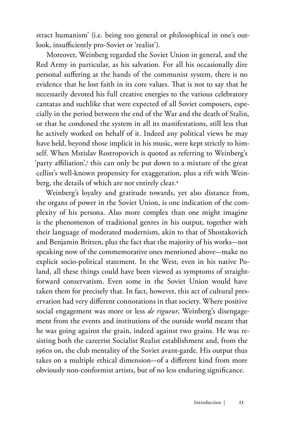stract humanism' (i.e. being too general or philosophical in one's outlook, insufficiently pro-Soviet or 'realist').

Moreover, Weinberg regarded the Soviet Union in general, and the Red Army in particular, as his salvation. For all his occasionally dire personal suffering at the hands of the communist system, there is no evidence that he lost faith in its core values. That is not to say that he necessarily devoted his full creative energies to the various celebratory cantatas and suchlike that were expected of all Soviet composers, especially in the period between the end of the War and the death of Stalin, or that he condoned the system in all its manifestations, still less that he actively worked on behalf of it. Indeed any political views he may have held, beyond those implicit in his music, were kept strictly to himself. When Mstislav Rostropovich is quoted as referring to Weinberg's 'party affiliation',3 this can only be put down to a mixture of the great cellist's well-known propensity for exaggeration, plus a rift with Weinberg, the details of which are not entirely clear.4

Weinberg's loyalty and gratitude towards, yet also distance from, the organs of power in the Soviet Union, is one indication of the complexity of his persona. Also more complex than one might imagine is the phenomenon of traditional genres in his output, together with their language of moderated modernism, akin to that of Shostakovich and Benjamin Britten, plus the fact that the majority of his works-not speaking now of the commemorative ones mentioned above—make no explicit socio-political statement. In the West, even in his native Poland, all these things could have been viewed as symptoms of straightforward conservatism. Even some in the Soviet Union would have taken them for precisely that. In fact, however, this act of cultural preservation had very different connotations in that society. Where positive social engagement was more or less *de rigueur*, Weinberg's disengagement from the events and institutions of the outside world meant that he was going against the grain, indeed against two grains. He was resisting both the careerist Socialist Realist establishment and, from the 1960s on, the club mentality of the Soviet avant-garde. His output thus takes on a multiple ethical dimension-of a different kind from more obviously non-conformist artists, but of no less enduring significance.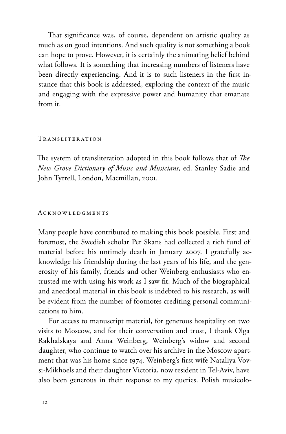That significance was, of course, dependent on artistic quality as much as on good intentions. And such quality is not something a book can hope to prove. However, it is certainly the animating belief behind what follows. It is something that increasing numbers of listeners have been directly experiencing. And it is to such listeners in the first instance that this book is addressed, exploring the context of the music and engaging with the expressive power and humanity that emanate from it.

#### Tr ansliter ation

The system of transliteration adopted in this book follows that of *The New Grove Dictionary of Music and Musicians*, ed. Stanley Sadie and John Tyrrell, London, Macmillan, 2001.

#### **ACKNOWLEDGMENTS**

Many people have contributed to making this book possible. First and foremost, the Swedish scholar Per Skans had collected a rich fund of material before his untimely death in January 2007. I gratefully acknowledge his friendship during the last years of his life, and the generosity of his family, friends and other Weinberg enthusiasts who entrusted me with using his work as I saw fit. Much of the biographical and anecdotal material in this book is indebted to his research, as will be evident from the number of footnotes crediting personal communications to him.

For access to manuscript material, for generous hospitality on two visits to Moscow, and for their conversation and trust, I thank Olga Rakhalskaya and Anna Weinberg, Weinberg's widow and second daughter, who continue to watch over his archive in the Moscow apartment that was his home since 1974. Weinberg's first wife Nataliya Vovsi-Mikhoels and their daughter Victoria, now resident in Tel-Aviv, have also been generous in their response to my queries. Polish musicolo